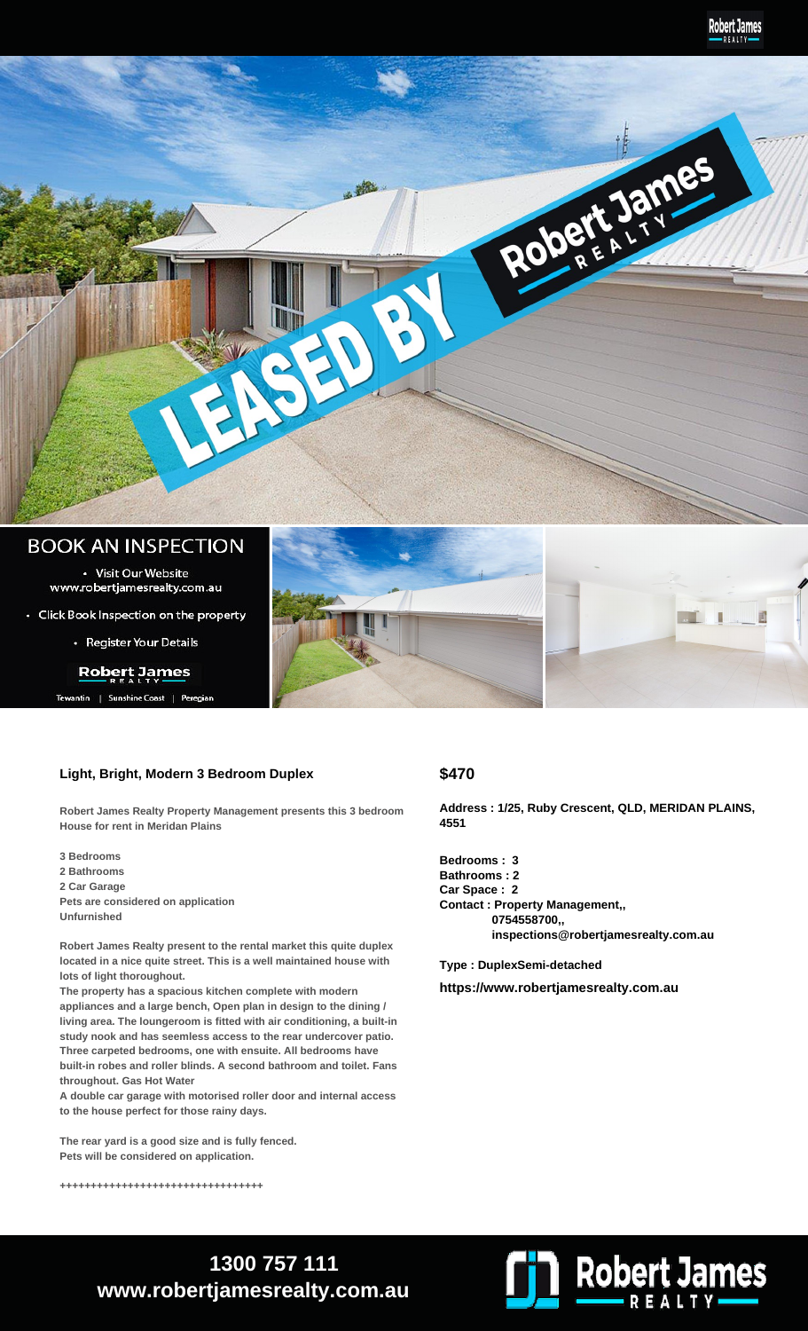

## **BOOK AN INSPECTION**

• Visit Our Website www.robertjamesrealty.com.au

• Click Book Inspection on the property

• Register Your Details

### **Robert James**

ntin | Sunshine Coast | Peregia

### **Light, Bright, Modern 3 Bedroom Duplex**

**Robert James Realty Property Management presents this 3 bedroom House for rent in Meridan Plains**

**3 Bedrooms 2 Bathrooms 2 Car Garage Pets are considered on application Unfurnished**

**Robert James Realty present to the rental market this quite duplex located in a nice quite street. This is a well maintained house with lots of light thoroughout.**

**The property has a spacious kitchen complete with modern appliances and a large bench, Open plan in design to the dining / living area. The loungeroom is fitted with air conditioning, a built-in study nook and has seemless access to the rear undercover patio. Three carpeted bedrooms, one with ensuite. All bedrooms have built-in robes and roller blinds. A second bathroom and toilet. Fans throughout. Gas Hot Water**

**A double car garage with motorised roller door and internal access to the house perfect for those rainy days.** 

**The rear yard is a good size and is fully fenced. Pets will be considered on application.**

**+++++++++++++++++++++++++++++++++**

### **\$470**

**Address : 1/25, Ruby Crescent, QLD, MERIDAN PLAINS, 4551**

圕

**Bedrooms : 3 Bathrooms : 2 Car Space : 2 Contact : Property Management,, 0754558700,, inspections@robertjamesrealty.com.au**

**Type : DuplexSemi-detached**

**https://www.robertjamesrealty.com.au**



# **1300 757 111 www.robertjamesrealty.com.au**